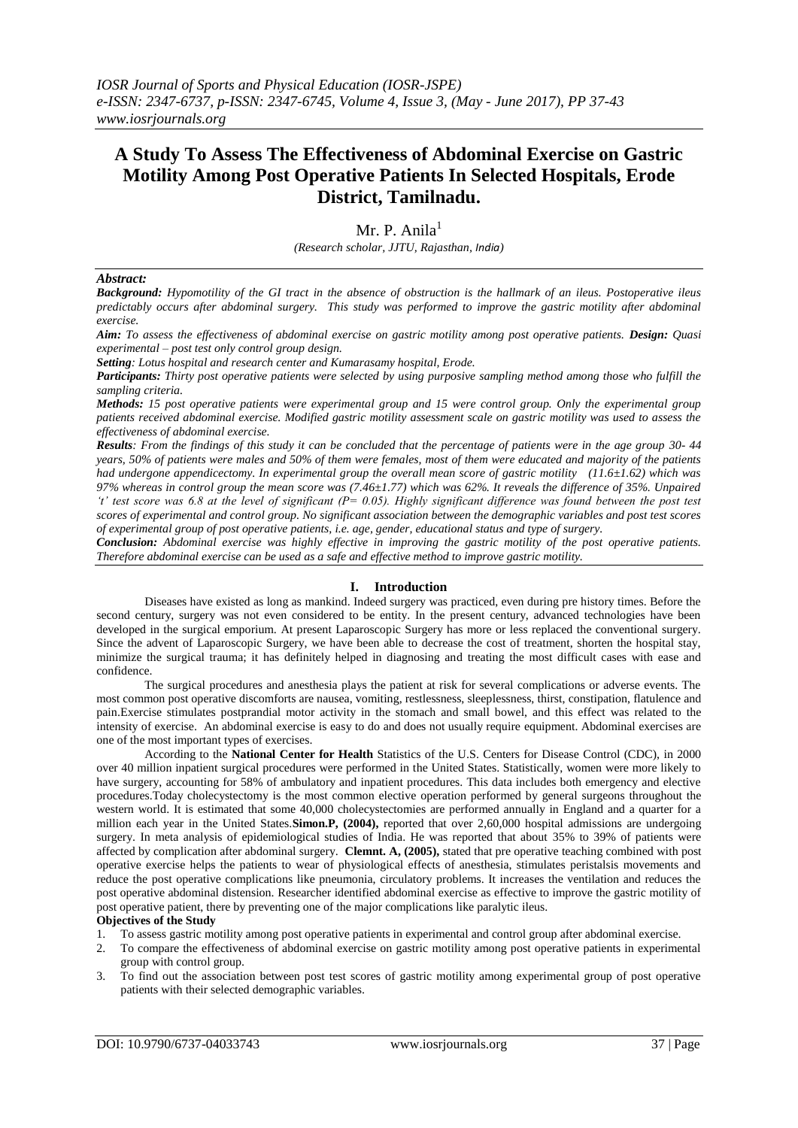# **A Study To Assess The Effectiveness of Abdominal Exercise on Gastric Motility Among Post Operative Patients In Selected Hospitals, Erode District, Tamilnadu.**

Mr. P. Anila $<sup>1</sup>$ </sup>

*(Research scholar, JJTU, Rajasthan, India)*

## *Abstract:*

*Background: Hypomotility of the GI tract in the absence of obstruction is the hallmark of an ileus. Postoperative ileus predictably occurs after abdominal surgery. This study was performed to improve the gastric motility after abdominal exercise.* 

*Aim: To assess the effectiveness of abdominal exercise on gastric motility among post operative patients. Design: Quasi experimental – post test only control group design.* 

*Setting: Lotus hospital and research center and Kumarasamy hospital, Erode.*

*Participants: Thirty post operative patients were selected by using purposive sampling method among those who fulfill the sampling criteria.*

*Methods: 15 post operative patients were experimental group and 15 were control group. Only the experimental group patients received abdominal exercise. Modified gastric motility assessment scale on gastric motility was used to assess the effectiveness of abdominal exercise.* 

*Results: From the findings of this study it can be concluded that the percentage of patients were in the age group 30- 44 years, 50% of patients were males and 50% of them were females, most of them were educated and majority of the patients had undergone appendicectomy. In experimental group the overall mean score of gastric motility (11.6±1.62) which was 97% whereas in control group the mean score was (7.46±1.77) which was 62%. It reveals the difference of 35%. Unpaired 't' test score was 6.8 at the level of significant (P= 0.05). Highly significant difference was found between the post test scores of experimental and control group. No significant association between the demographic variables and post test scores of experimental group of post operative patients, i.e. age, gender, educational status and type of surgery.* 

*Conclusion: Abdominal exercise was highly effective in improving the gastric motility of the post operative patients. Therefore abdominal exercise can be used as a safe and effective method to improve gastric motility.* 

## **I. Introduction**

Diseases have existed as long as mankind. Indeed surgery was practiced, even during pre history times. Before the second century, surgery was not even considered to be entity. In the present century, advanced technologies have been developed in the surgical emporium. At present Laparoscopic Surgery has more or less replaced the conventional surgery. Since the advent of Laparoscopic Surgery, we have been able to decrease the cost of treatment, shorten the hospital stay, minimize the surgical trauma; it has definitely helped in diagnosing and treating the most difficult cases with ease and confidence.

The surgical procedures and anesthesia plays the patient at risk for several complications or adverse events. The most common post operative discomforts are nausea, vomiting, restlessness, sleeplessness, thirst, constipation, flatulence and pain.Exercise stimulates postprandial motor activity in the stomach and small bowel, and this effect was related to the intensity of exercise. An abdominal exercise is easy to do and does not usually require equipment. Abdominal exercises are one of the most important types of exercises.

According to the **National Center for Health** Statistics of the U.S. Centers for Disease Control (CDC), in 2000 over 40 million inpatient surgical procedures were performed in the United States. Statistically, women were more likely to have surgery, accounting for 58% of ambulatory and inpatient procedures. This data includes both emergency and elective procedures.Today cholecystectomy is the most common elective operation performed by general surgeons throughout the western world. It is estimated that some 40,000 cholecystectomies are performed annually in England and a quarter for a million each year in the United States.**Simon.P, (2004),** reported that over 2,60,000 hospital admissions are undergoing surgery. In meta analysis of epidemiological studies of India. He was reported that about 35% to 39% of patients were affected by complication after abdominal surgery. **Clemnt. A, (2005),** stated that pre operative teaching combined with post operative exercise helps the patients to wear of physiological effects of anesthesia, stimulates peristalsis movements and reduce the post operative complications like pneumonia, circulatory problems. It increases the ventilation and reduces the post operative abdominal distension. Researcher identified abdominal exercise as effective to improve the gastric motility of post operative patient, there by preventing one of the major complications like paralytic ileus.

## **Objectives of the Study**

- 1. To assess gastric motility among post operative patients in experimental and control group after abdominal exercise.
- 2. To compare the effectiveness of abdominal exercise on gastric motility among post operative patients in experimental group with control group.
- 3. To find out the association between post test scores of gastric motility among experimental group of post operative patients with their selected demographic variables.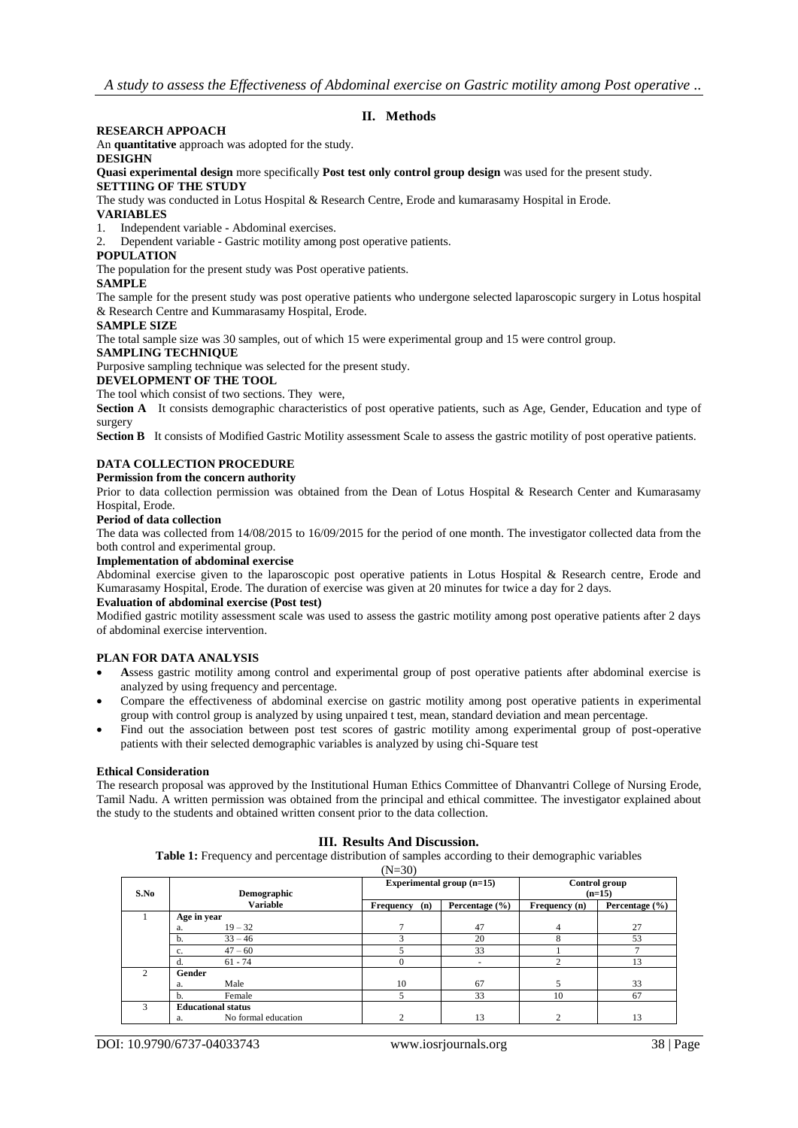# **II. Methods**

# **RESEARCH APPOACH**

An **quantitative** approach was adopted for the study.

#### **DESIGHN**

**Quasi experimental design** more specifically **Post test only control group design** was used for the present study. **SETTIING OF THE STUDY**

The study was conducted in Lotus Hospital & Research Centre, Erode and kumarasamy Hospital in Erode.

## **VARIABLES**

1. Independent variable - Abdominal exercises.

2. Dependent variable - Gastric motility among post operative patients.

#### **POPULATION**

The population for the present study was Post operative patients.

#### **SAMPLE**

The sample for the present study was post operative patients who undergone selected laparoscopic surgery in Lotus hospital & Research Centre and Kummarasamy Hospital, Erode.

## **SAMPLE SIZE**

The total sample size was 30 samples, out of which 15 were experimental group and 15 were control group.

#### **SAMPLING TECHNIQUE**

Purposive sampling technique was selected for the present study.

#### **DEVELOPMENT OF THE TOOL**

The tool which consist of two sections. They were,

**Section A** It consists demographic characteristics of post operative patients, such as Age, Gender, Education and type of surgery

**Section B** It consists of Modified Gastric Motility assessment Scale to assess the gastric motility of post operative patients.

# **DATA COLLECTION PROCEDURE**

#### **Permission from the concern authority**

Prior to data collection permission was obtained from the Dean of Lotus Hospital & Research Center and Kumarasamy Hospital, Erode.

## **Period of data collection**

The data was collected from 14/08/2015 to 16/09/2015 for the period of one month. The investigator collected data from the both control and experimental group.

#### **Implementation of abdominal exercise**

Abdominal exercise given to the laparoscopic post operative patients in Lotus Hospital & Research centre, Erode and Kumarasamy Hospital, Erode. The duration of exercise was given at 20 minutes for twice a day for 2 days.

#### **Evaluation of abdominal exercise (Post test)**

Modified gastric motility assessment scale was used to assess the gastric motility among post operative patients after 2 days of abdominal exercise intervention.

## **PLAN FOR DATA ANALYSIS**

- **A**ssess gastric motility among control and experimental group of post operative patients after abdominal exercise is analyzed by using frequency and percentage.
- Compare the effectiveness of abdominal exercise on gastric motility among post operative patients in experimental group with control group is analyzed by using unpaired t test, mean, standard deviation and mean percentage.
- Find out the association between post test scores of gastric motility among experimental group of post-operative patients with their selected demographic variables is analyzed by using chi-Square test

## **Ethical Consideration**

The research proposal was approved by the Institutional Human Ethics Committee of Dhanvantri College of Nursing Erode, Tamil Nadu. A written permission was obtained from the principal and ethical committee. The investigator explained about the study to the students and obtained written consent prior to the data collection.

## **III. Results And Discussion.**

**Table 1:** Frequency and percentage distribution of samples according to their demographic variables

|                |                           |                     | $(N=30)$         |                           |                           |                    |  |
|----------------|---------------------------|---------------------|------------------|---------------------------|---------------------------|--------------------|--|
| S.No           | <b>Demographic</b>        |                     |                  | Experimental group (n=15) | Control group<br>$(n=15)$ |                    |  |
|                |                           | <b>Variable</b>     | Frequency<br>(n) | Percentage $(\% )$        | Frequency (n)             | Percentage $(\% )$ |  |
|                | Age in year               |                     |                  |                           |                           |                    |  |
|                | a.                        | $19 - 32$           | $\mathbf{\tau}$  | 47                        | 4                         | 27                 |  |
|                | b.                        | $33 - 46$           |                  | 20                        |                           | 53                 |  |
|                | c.                        | $47 - 60$           |                  | 33                        |                           |                    |  |
|                |                           | $61 - 74$           |                  |                           | $\overline{ }$            | 13                 |  |
| $\mathfrak{2}$ | Gender                    |                     |                  |                           |                           |                    |  |
|                | a.                        | Male                | 10               | 67                        | 5                         | 33                 |  |
|                | h.                        | Female              | 5                | 33                        | 10                        | 67                 |  |
| 3              | <b>Educational status</b> |                     |                  |                           |                           |                    |  |
|                | a.                        | No formal education |                  | 13                        | ◠                         | 13                 |  |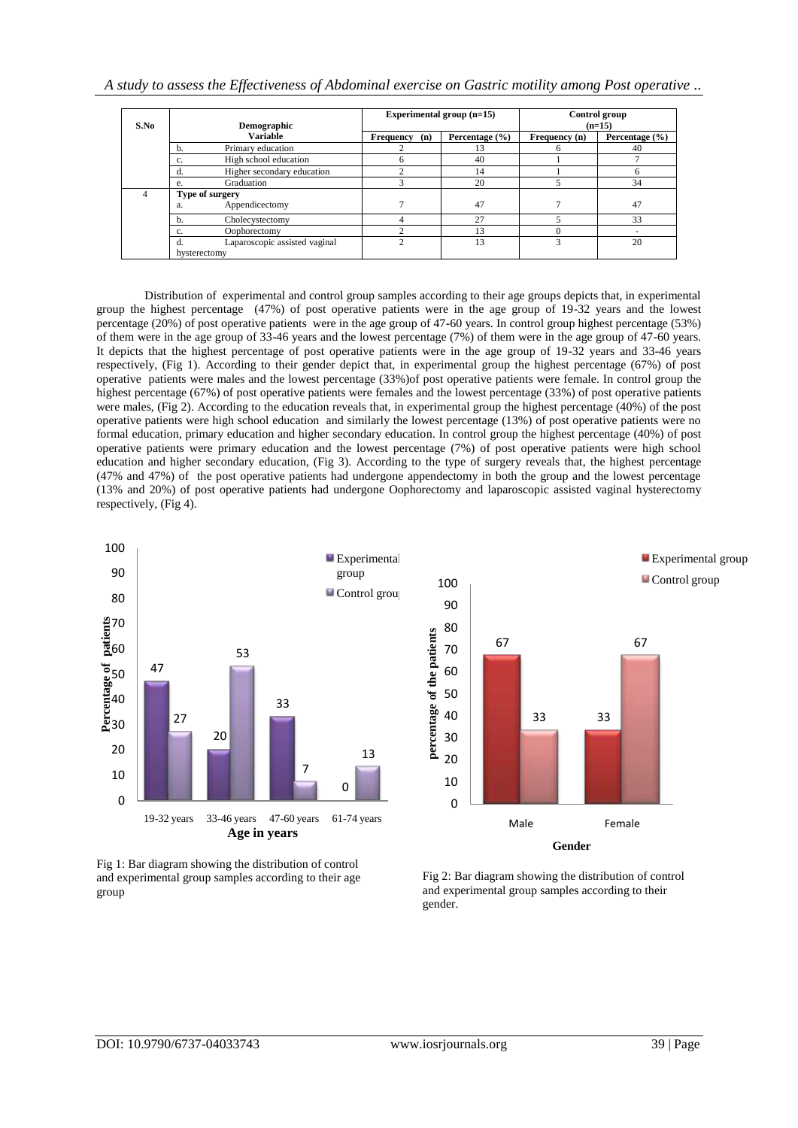|  | A study to assess the Effectiveness of Abdominal exercise on Gastric motility among Post operative |  |  |  |  |  |  |
|--|----------------------------------------------------------------------------------------------------|--|--|--|--|--|--|
|  |                                                                                                    |  |  |  |  |  |  |
|  |                                                                                                    |  |  |  |  |  |  |
|  |                                                                                                    |  |  |  |  |  |  |

| S.No |                             | <b>Demographic</b>            |                  | Experimental group (n=15) | Control group<br>$(n=15)$ |                    |  |
|------|-----------------------------|-------------------------------|------------------|---------------------------|---------------------------|--------------------|--|
|      |                             | <b>Variable</b>               | Frequency<br>(n) | Percentage $(\% )$        | Frequency (n)             | Percentage $(\% )$ |  |
|      | Primary education<br>b.     |                               |                  | 13                        |                           | 40                 |  |
|      | High school education<br>c. |                               |                  | 40                        |                           |                    |  |
|      | d.                          | Higher secondary education    |                  | 14                        |                           | 6                  |  |
|      | e.                          | Graduation                    |                  | 20                        |                           | 34                 |  |
| 4    | Type of surgery             |                               |                  |                           |                           |                    |  |
|      | a.                          | Appendicectomy                |                  | 47                        |                           | 47                 |  |
|      | b.                          | Cholecystectomy               |                  | 27                        |                           | 33                 |  |
|      | c.                          | Oophorectomy                  |                  | 13                        |                           |                    |  |
|      |                             | Laparoscopic assisted vaginal |                  | 13                        |                           | 20                 |  |
|      | hysterectomy                |                               |                  |                           |                           |                    |  |

Distribution of experimental and control group samples according to their age groups depicts that, in experimental group the highest percentage (47%) of post operative patients were in the age group of 19-32 years and the lowest percentage (20%) of post operative patients were in the age group of 47-60 years. In control group highest percentage (53%) of them were in the age group of 33-46 years and the lowest percentage (7%) of them were in the age group of 47-60 years. It depicts that the highest percentage of post operative patients were in the age group of 19-32 years and 33-46 years respectively, (Fig 1). According to their gender depict that, in experimental group the highest percentage (67%) of post operative patients were males and the lowest percentage (33%)of post operative patients were female. In control group the highest percentage (67%) of post operative patients were females and the lowest percentage (33%) of post operative patients were males, (Fig 2). According to the education reveals that, in experimental group the highest percentage (40%) of the post operative patients were high school education and similarly the lowest percentage (13%) of post operative patients were no formal education, primary education and higher secondary education. In control group the highest percentage (40%) of post operative patients were primary education and the lowest percentage (7%) of post operative patients were high school education and higher secondary education, (Fig 3). According to the type of surgery reveals that, the highest percentage (47% and 47%) of the post operative patients had undergone appendectomy in both the group and the lowest percentage (13% and 20%) of post operative patients had undergone Oophorectomy and laparoscopic assisted vaginal hysterectomy respectively, (Fig 4).



100 90 80 percentage of the patients **percentage of the patients** 67 67 70 60 50 40 33 33 30 20 10 0 Male Female **Gender**

Fig 1: Bar diagram showing the distribution of control and experimental group samples according to their age group

Fig 2: Bar diagram showing the distribution of control and experimental group samples according to their gender.

**Experimental group** Control group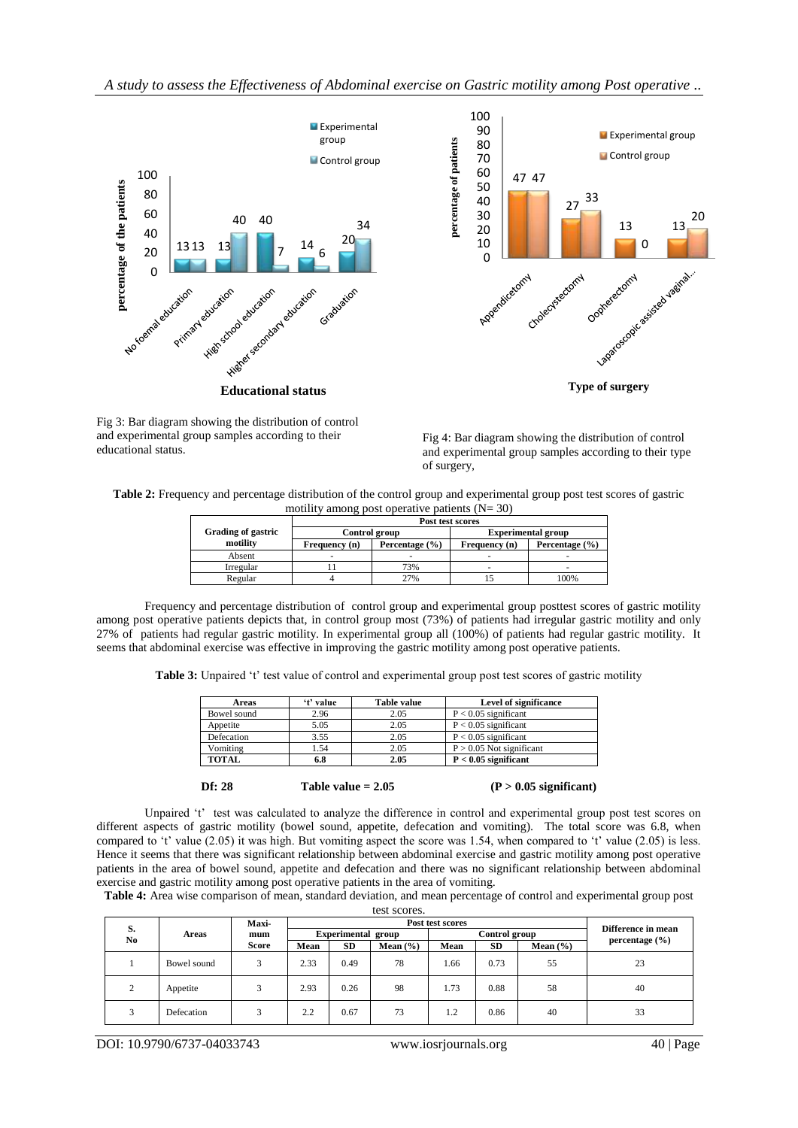



**Type of surgery**

Fig 3: Bar diagram showing the distribution of control and experimental group samples according to their educational status.

Fig 4: Bar diagram showing the distribution of control and experimental group samples according to their type of surgery,

**Table 2:** Frequency and percentage distribution of the control group and experimental group post test scores of gastric motility among post operative patients  $(N= 30)$ 

|                    | Post test scores |                    |                           |                |  |  |  |  |  |  |
|--------------------|------------------|--------------------|---------------------------|----------------|--|--|--|--|--|--|
| Grading of gastric | Control group    |                    | <b>Experimental group</b> |                |  |  |  |  |  |  |
| motility           | Frequency (n)    | Percentage $(\% )$ | Frequency (n)             | Percentage (%) |  |  |  |  |  |  |
| Absent             |                  |                    |                           |                |  |  |  |  |  |  |
| Irregular          |                  | 73%                |                           | -              |  |  |  |  |  |  |
| Regular            |                  | 27%                |                           | 100%           |  |  |  |  |  |  |

Frequency and percentage distribution of control group and experimental group posttest scores of gastric motility among post operative patients depicts that, in control group most (73%) of patients had irregular gastric motility and only 27% of patients had regular gastric motility. In experimental group all (100%) of patients had regular gastric motility. It seems that abdominal exercise was effective in improving the gastric motility among post operative patients.

Table 3: Unpaired 't' test value of control and experimental group post test scores of gastric motility

| Areas        | 't' value | Table value | Level of significance      |
|--------------|-----------|-------------|----------------------------|
| Bowel sound  | 2.96      | 2.05        | $P < 0.05$ significant     |
| Appetite     | 5.05      | 2.05        | $P < 0.05$ significant     |
| Defecation   | 3.55      | 2.05        | $P < 0.05$ significant     |
| Vomiting     | 1.54      | 2.05        | $P > 0.05$ Not significant |
| <b>TOTAL</b> | 6.8       | 2.05        | $P < 0.05$ significant     |



Df: 28 Table value =  $2.05$  (P >  $0.05$  significant)

Unpaired 't' test was calculated to analyze the difference in control and experimental group post test scores on different aspects of gastric motility (bowel sound, appetite, defecation and vomiting). The total score was 6.8, when compared to 't' value (2.05) it was high. But vomiting aspect the score was 1.54, when compared to 't' value (2.05) is less. Hence it seems that there was significant relationship between abdominal exercise and gastric motility among post operative patients in the area of bowel sound, appetite and defecation and there was no significant relationship between abdominal exercise and gastric motility among post operative patients in the area of vomiting.

**Table 4:** Area wise comparison of mean, standard deviation, and mean percentage of control and experimental group post test scores.

| S.  |             | Maxi-        |                           |           | Difference in mean |               |           |              |                    |  |
|-----|-------------|--------------|---------------------------|-----------|--------------------|---------------|-----------|--------------|--------------------|--|
| No. | Areas       | mum          | <b>Experimental group</b> |           |                    | Control group |           |              | percentage $(\% )$ |  |
|     |             | <b>Score</b> | Mean                      | <b>SD</b> | Mean $(\% )$       | Mean          | <b>SD</b> | Mean $(\% )$ |                    |  |
|     | Bowel sound |              | 2.33                      | 0.49      | 78                 | 1.66          | 0.73      | 55           | 23                 |  |
| ◠   | Appetite    |              | 2.93                      | 0.26      | 98                 | 1.73          | 0.88      | 58           | 40                 |  |
|     | Defecation  |              | 2.2                       | 0.67      | 73                 | 1.2           | 0.86      | 40           | 33                 |  |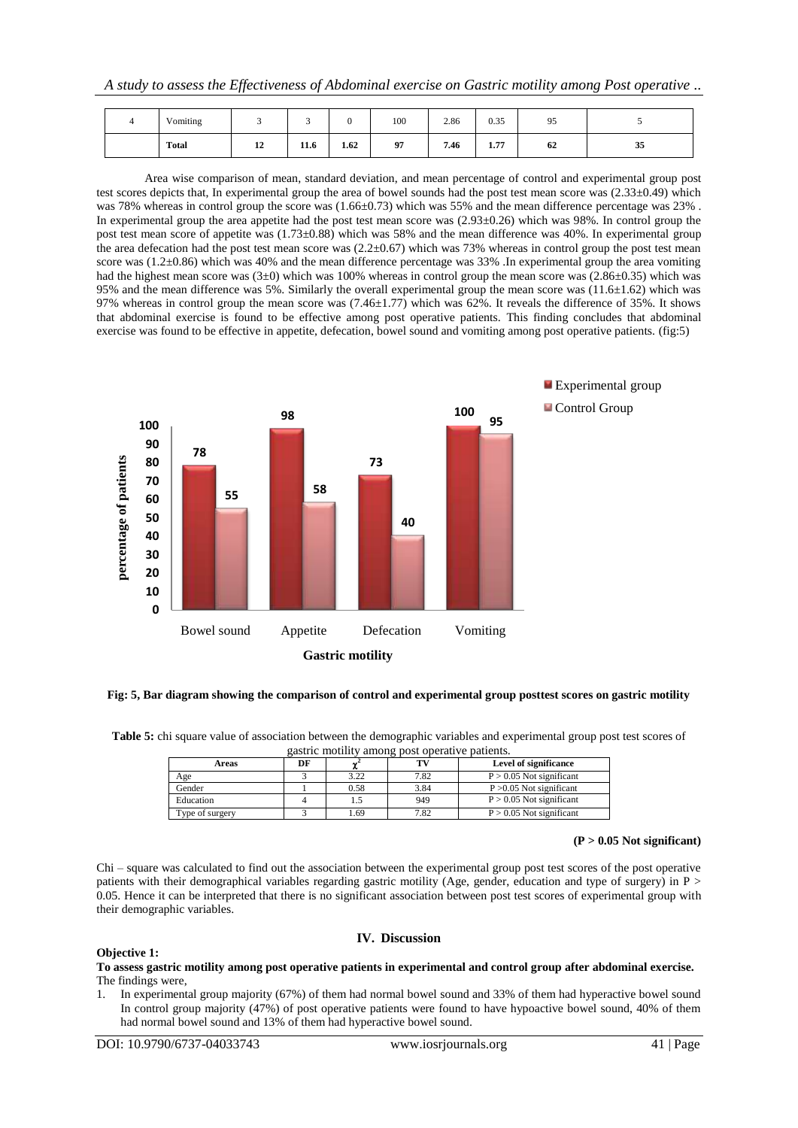| Vomiting |                       | -            |      | 100 | 2.86 | 0.35                   | 95 |    |
|----------|-----------------------|--------------|------|-----|------|------------------------|----|----|
| Total    | $\overline{10}$<br>12 | 11.1<br>11.0 | 1.62 | 97  | 7.46 | $\overline{a}$<br>1.77 | 62 | 35 |

Area wise comparison of mean, standard deviation, and mean percentage of control and experimental group post test scores depicts that, In experimental group the area of bowel sounds had the post test mean score was (2.33±0.49) which was 78% whereas in control group the score was  $(1.66\pm0.73)$  which was 55% and the mean difference percentage was 23%. In experimental group the area appetite had the post test mean score was  $(2.93\pm0.26)$  which was 98%. In control group the post test mean score of appetite was  $(1.73\pm0.88)$  which was 58% and the mean difference was 40%. In experimental group the area defecation had the post test mean score was  $(2.2\pm0.67)$  which was 73% whereas in control group the post test mean score was (1.2±0.86) which was 40% and the mean difference percentage was 33% .In experimental group the area vomiting had the highest mean score was  $(3\pm 0)$  which was 100% whereas in control group the mean score was  $(2.86\pm 0.35)$  which was 95% and the mean difference was 5%. Similarly the overall experimental group the mean score was (11.6±1.62) which was 97% whereas in control group the mean score was (7.46±1.77) which was 62%. It reveals the difference of 35%. It shows that abdominal exercise is found to be effective among post operative patients. This finding concludes that abdominal exercise was found to be effective in appetite, defecation, bowel sound and vomiting among post operative patients. (fig:5)



## **Fig: 5, Bar diagram showing the comparison of control and experimental group posttest scores on gastric motility**

**Table 5:** chi square value of association between the demographic variables and experimental group post test scores of gastric motility among post operative patients.

| Areas           | DF |      | TV.  | Level of significance      |
|-----------------|----|------|------|----------------------------|
| Age             |    | 3.22 | 7.82 | $P > 0.05$ Not significant |
| Gender          |    | 0.58 | 3.84 | $P > 0.05$ Not significant |
| Education       |    |      | 949  | $P > 0.05$ Not significant |
| Type of surgery |    | .69  | 7.82 | $P > 0.05$ Not significant |

## **(P > 0.05 Not significant)**

Chi – square was calculated to find out the association between the experimental group post test scores of the post operative patients with their demographical variables regarding gastric motility (Age, gender, education and type of surgery) in P > 0.05. Hence it can be interpreted that there is no significant association between post test scores of experimental group with their demographic variables.

## **Objective 1:**

**To assess gastric motility among post operative patients in experimental and control group after abdominal exercise.** The findings were,

**IV. Discussion**

1. In experimental group majority (67%) of them had normal bowel sound and 33% of them had hyperactive bowel sound In control group majority (47%) of post operative patients were found to have hypoactive bowel sound, 40% of them had normal bowel sound and 13% of them had hyperactive bowel sound.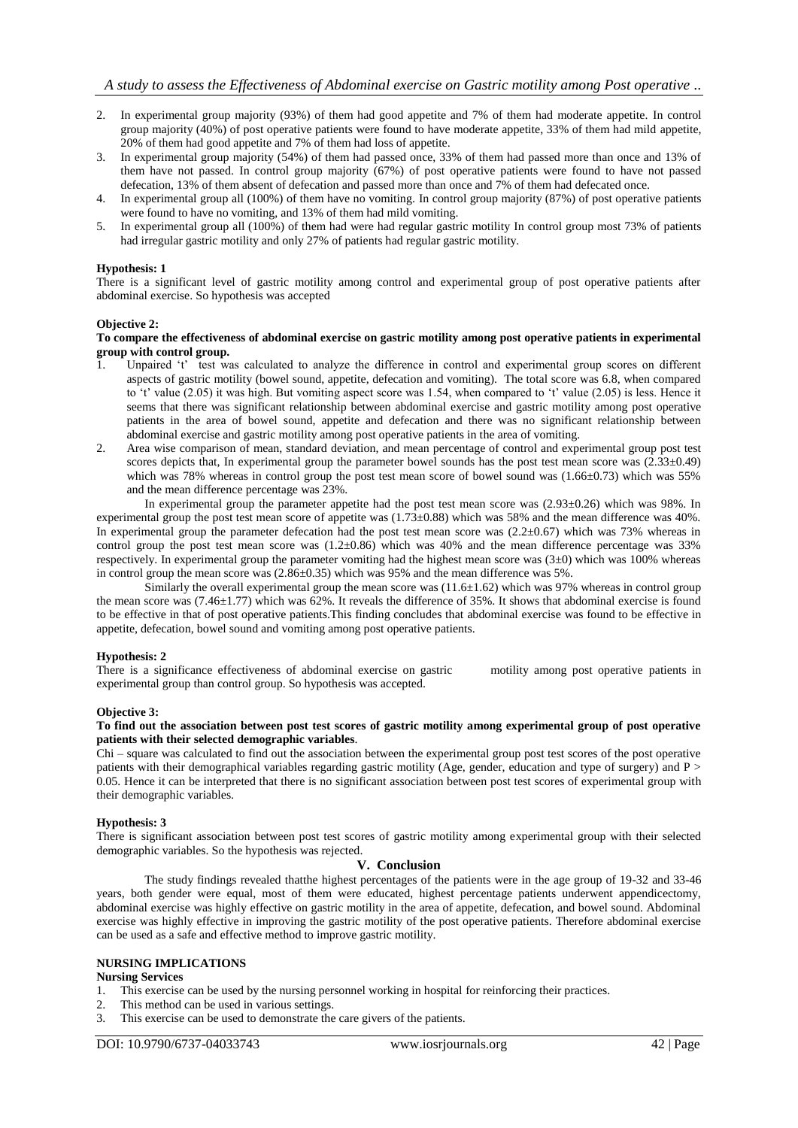- 2. In experimental group majority (93%) of them had good appetite and 7% of them had moderate appetite. In control group majority (40%) of post operative patients were found to have moderate appetite, 33% of them had mild appetite, 20% of them had good appetite and 7% of them had loss of appetite.
- 3. In experimental group majority (54%) of them had passed once, 33% of them had passed more than once and 13% of them have not passed. In control group majority (67%) of post operative patients were found to have not passed defecation, 13% of them absent of defecation and passed more than once and 7% of them had defecated once.
- 4. In experimental group all (100%) of them have no vomiting. In control group majority (87%) of post operative patients were found to have no vomiting, and 13% of them had mild vomiting.
- 5. In experimental group all (100%) of them had were had regular gastric motility In control group most 73% of patients had irregular gastric motility and only 27% of patients had regular gastric motility.

# **Hypothesis: 1**

There is a significant level of gastric motility among control and experimental group of post operative patients after abdominal exercise. So hypothesis was accepted

## **Objective 2:**

#### **To compare the effectiveness of abdominal exercise on gastric motility among post operative patients in experimental group with control group.**

- 1. Unpaired 't' test was calculated to analyze the difference in control and experimental group scores on different aspects of gastric motility (bowel sound, appetite, defecation and vomiting). The total score was 6.8, when compared to 't' value (2.05) it was high. But vomiting aspect score was 1.54, when compared to 't' value (2.05) is less. Hence it seems that there was significant relationship between abdominal exercise and gastric motility among post operative patients in the area of bowel sound, appetite and defecation and there was no significant relationship between abdominal exercise and gastric motility among post operative patients in the area of vomiting.
- 2. Area wise comparison of mean, standard deviation, and mean percentage of control and experimental group post test scores depicts that, In experimental group the parameter bowel sounds has the post test mean score was  $(2.33\pm0.49)$ which was 78% whereas in control group the post test mean score of bowel sound was  $(1.66\pm0.73)$  which was 55% and the mean difference percentage was 23%.

In experimental group the parameter appetite had the post test mean score was (2.93±0.26) which was 98%. In experimental group the post test mean score of appetite was  $(1.73\pm0.88)$  which was 58% and the mean difference was 40%. In experimental group the parameter defecation had the post test mean score was  $(2.2\pm 0.67)$  which was 73% whereas in control group the post test mean score was  $(1.2\pm0.86)$  which was 40% and the mean difference percentage was 33% respectively. In experimental group the parameter vomiting had the highest mean score was  $(3\pm0)$  which was 100% whereas in control group the mean score was (2.86±0.35) which was 95% and the mean difference was 5%.

Similarly the overall experimental group the mean score was  $(11.6\pm 1.62)$  which was 97% whereas in control group the mean score was  $(7.46\pm1.77)$  which was 62%. It reveals the difference of 35%. It shows that abdominal exercise is found to be effective in that of post operative patients.This finding concludes that abdominal exercise was found to be effective in appetite, defecation, bowel sound and vomiting among post operative patients.

## **Hypothesis: 2**

There is a significance effectiveness of abdominal exercise on gastric motility among post operative patients in experimental group than control group. So hypothesis was accepted.

## **Objective 3:**

## **To find out the association between post test scores of gastric motility among experimental group of post operative patients with their selected demographic variables**.

Chi – square was calculated to find out the association between the experimental group post test scores of the post operative patients with their demographical variables regarding gastric motility (Age, gender, education and type of surgery) and P > 0.05. Hence it can be interpreted that there is no significant association between post test scores of experimental group with their demographic variables.

## **Hypothesis: 3**

There is significant association between post test scores of gastric motility among experimental group with their selected demographic variables. So the hypothesis was rejected.

#### **V. Conclusion**

The study findings revealed thatthe highest percentages of the patients were in the age group of 19-32 and 33-46 years, both gender were equal, most of them were educated, highest percentage patients underwent appendicectomy, abdominal exercise was highly effective on gastric motility in the area of appetite, defecation, and bowel sound. Abdominal exercise was highly effective in improving the gastric motility of the post operative patients. Therefore abdominal exercise can be used as a safe and effective method to improve gastric motility.

# **NURSING IMPLICATIONS**

## **Nursing Services**

- 1. This exercise can be used by the nursing personnel working in hospital for reinforcing their practices.
- 2. This method can be used in various settings.
- 3. This exercise can be used to demonstrate the care givers of the patients.